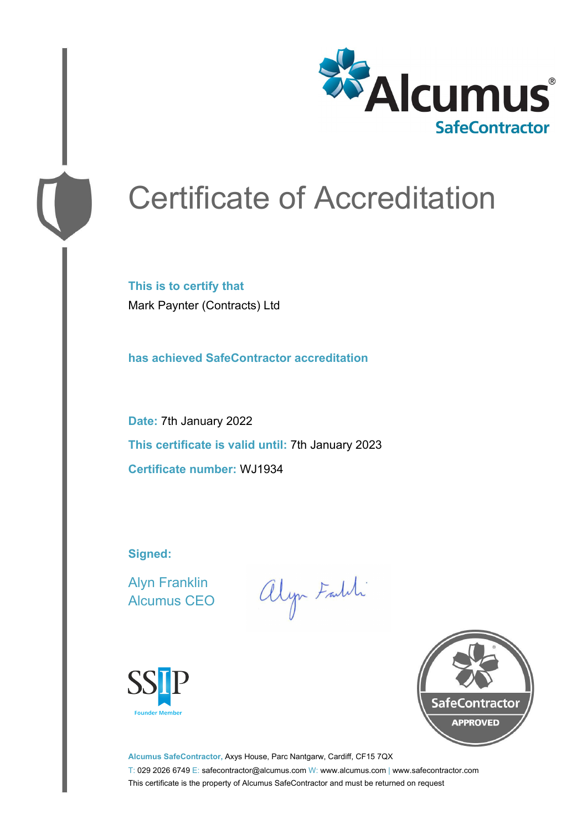

# Certificate of Accreditation

**This is to certify that** Mark Paynter (Contracts) Ltd

**has achieved SafeContractor accreditation**

**Date:** 7th January 2022 **This certificate is valid until:** 7th January 2023 **Certificate number:** WJ1934

**Signed:**

Alyn Franklin Alcumus CEO

alyn Faith





**Alcumus SafeContractor,** Axys House, Parc Nantgarw, Cardiff, CF15 7QX T: 029 2026 6749 E: safecontractor@alcumus.com W: www.alcumus.com | www.safecontractor.com This certificate is the property of Alcumus SafeContractor and must be returned on request